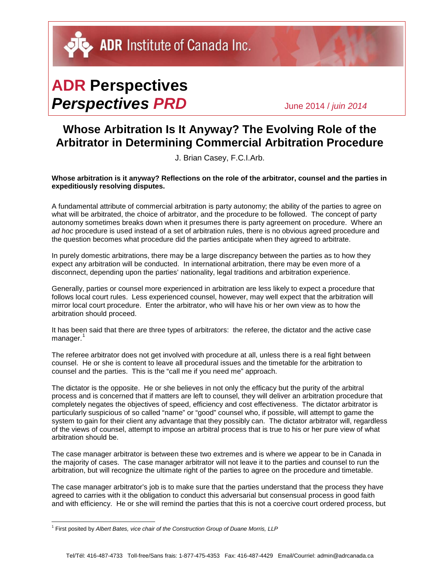ADR Institute of Canada Inc.

## **ADR Perspectives** *Perspectives PRD* June 2014 / *juin <sup>2014</sup>*

## **Whose Arbitration Is It Anyway? The Evolving Role of the Arbitrator in Determining Commercial Arbitration Procedure**

J. Brian Casey, F.C.I.Arb.

**Whose arbitration is it anyway? Reflections on the role of the arbitrator, counsel and the parties in expeditiously resolving disputes.**

A fundamental attribute of commercial arbitration is party autonomy; the ability of the parties to agree on what will be arbitrated, the choice of arbitrator, and the procedure to be followed. The concept of party autonomy sometimes breaks down when it presumes there is party agreement on procedure. Where an *ad hoc* procedure is used instead of a set of arbitration rules, there is no obvious agreed procedure and the question becomes what procedure did the parties anticipate when they agreed to arbitrate.

In purely domestic arbitrations, there may be a large discrepancy between the parties as to how they expect any arbitration will be conducted. In international arbitration, there may be even more of a disconnect, depending upon the parties' nationality, legal traditions and arbitration experience.

Generally, parties or counsel more experienced in arbitration are less likely to expect a procedure that follows local court rules. Less experienced counsel, however, may well expect that the arbitration will mirror local court procedure. Enter the arbitrator, who will have his or her own view as to how the arbitration should proceed.

It has been said that there are three types of arbitrators: the referee, the dictator and the active case manager.<sup>[1](#page-0-0)</sup>

The referee arbitrator does not get involved with procedure at all, unless there is a real fight between counsel. He or she is content to leave all procedural issues and the timetable for the arbitration to counsel and the parties. This is the "call me if you need me" approach.

The dictator is the opposite. He or she believes in not only the efficacy but the purity of the arbitral process and is concerned that if matters are left to counsel, they will deliver an arbitration procedure that completely negates the objectives of speed, efficiency and cost effectiveness. The dictator arbitrator is particularly suspicious of so called "name" or "good" counsel who, if possible, will attempt to game the system to gain for their client any advantage that they possibly can. The dictator arbitrator will, regardless of the views of counsel, attempt to impose an arbitral process that is true to his or her pure view of what arbitration should be.

The case manager arbitrator is between these two extremes and is where we appear to be in Canada in the majority of cases. The case manager arbitrator will not leave it to the parties and counsel to run the arbitration, but will recognize the ultimate right of the parties to agree on the procedure and timetable.

The case manager arbitrator's job is to make sure that the parties understand that the process they have agreed to carries with it the obligation to conduct this adversarial but consensual process in good faith and with efficiency. He or she will remind the parties that this is not a coercive court ordered process, but

<span id="page-0-0"></span><sup>&</sup>lt;sup>1</sup> First posited by Albert Bates, vice chair of the Construction Group of Duane Morris, LLP